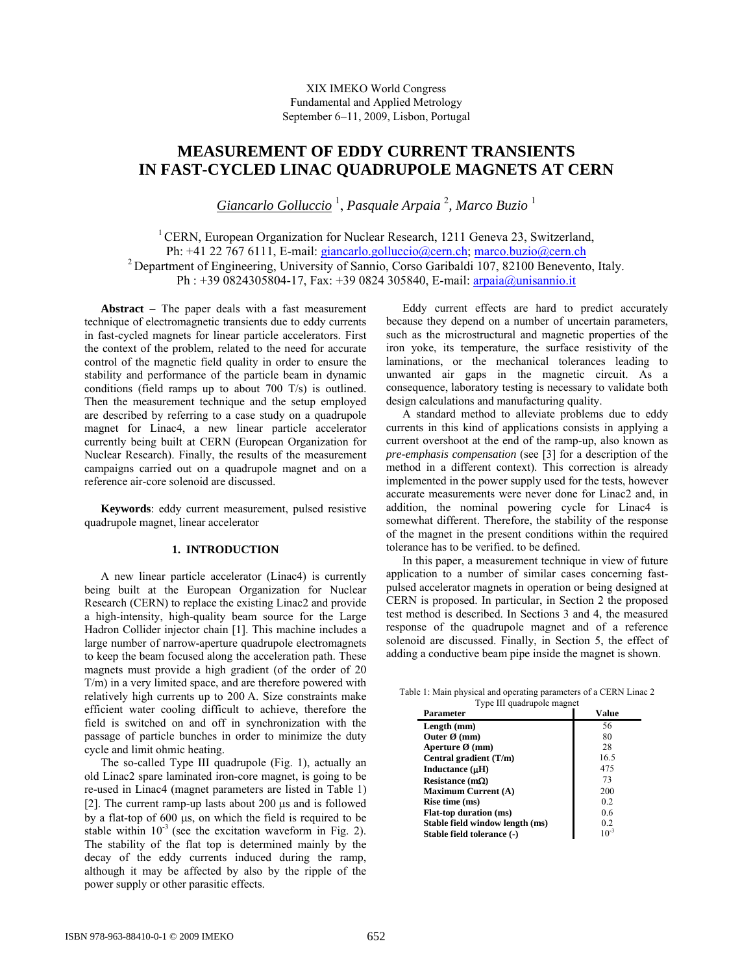# **MEASUREMENT OF EDDY CURRENT TRANSIENTS IN FAST-CYCLED LINAC QUADRUPOLE MAGNETS AT CERN**

*Giancarlo Golluccio* <sup>1</sup> , *Pasquale Arpaia* <sup>2</sup> *, Marco Buzio* <sup>1</sup>

<sup>1</sup> CERN, European Organization for Nuclear Research, 1211 Geneva 23, Switzerland, Ph: +41 22 767 6111, E-mail: giancarlo.golluccio@cern.ch; marco.buzio@cern.ch <sup>2</sup> Department of Engineering. University of Sannio, Corso Garibaldi 107, 82100 Benevento, Italy. Ph : +39 0824305804-17, Fax: +39 0824 305840, E-mail: arpaia@unisannio.it

**Abstract** − The paper deals with a fast measurement technique of electromagnetic transients due to eddy currents in fast-cycled magnets for linear particle accelerators. First the context of the problem, related to the need for accurate control of the magnetic field quality in order to ensure the stability and performance of the particle beam in dynamic conditions (field ramps up to about 700 T/s) is outlined. Then the measurement technique and the setup employed are described by referring to a case study on a quadrupole magnet for Linac4, a new linear particle accelerator currently being built at CERN (European Organization for Nuclear Research). Finally, the results of the measurement campaigns carried out on a quadrupole magnet and on a reference air-core solenoid are discussed.

**Keywords**: eddy current measurement, pulsed resistive quadrupole magnet, linear accelerator

# **1. INTRODUCTION**

A new linear particle accelerator (Linac4) is currently being built at the European Organization for Nuclear Research (CERN) to replace the existing Linac2 and provide a high-intensity, high-quality beam source for the Large Hadron Collider injector chain [1]. This machine includes a large number of narrow-aperture quadrupole electromagnets to keep the beam focused along the acceleration path. These magnets must provide a high gradient (of the order of 20 T/m) in a very limited space, and are therefore powered with relatively high currents up to 200 A. Size constraints make efficient water cooling difficult to achieve, therefore the field is switched on and off in synchronization with the passage of particle bunches in order to minimize the duty cycle and limit ohmic heating.

The so-called Type III quadrupole (Fig. 1), actually an old Linac2 spare laminated iron-core magnet, is going to be re-used in Linac4 (magnet parameters are listed in Table 1) [2]. The current ramp-up lasts about 200 μs and is followed by a flat-top of 600 μs, on which the field is required to be stable within  $10^{-3}$  (see the excitation waveform in Fig. 2). The stability of the flat top is determined mainly by the decay of the eddy currents induced during the ramp, although it may be affected by also by the ripple of the power supply or other parasitic effects.

Eddy current effects are hard to predict accurately because they depend on a number of uncertain parameters, such as the microstructural and magnetic properties of the iron yoke, its temperature, the surface resistivity of the laminations, or the mechanical tolerances leading to unwanted air gaps in the magnetic circuit. As a consequence, laboratory testing is necessary to validate both design calculations and manufacturing quality.

A standard method to alleviate problems due to eddy currents in this kind of applications consists in applying a current overshoot at the end of the ramp-up, also known as *pre-emphasis compensation* (see [3] for a description of the method in a different context). This correction is already implemented in the power supply used for the tests, however accurate measurements were never done for Linac2 and, in addition, the nominal powering cycle for Linac4 is somewhat different. Therefore, the stability of the response of the magnet in the present conditions within the required tolerance has to be verified. to be defined.

In this paper, a measurement technique in view of future application to a number of similar cases concerning fastpulsed accelerator magnets in operation or being designed at CERN is proposed. In particular, in Section 2 the proposed test method is described. In Sections 3 and 4, the measured response of the quadrupole magnet and of a reference solenoid are discussed. Finally, in Section 5, the effect of adding a conductive beam pipe inside the magnet is shown.

Table 1: Main physical and operating parameters of a CERN Linac 2 Type III quadrupole magnet

| r ype in quudrupole mughet<br>Parameter | Value |
|-----------------------------------------|-------|
| Length (mm)                             | 56    |
| Outer $\varnothing$ (mm)                | 80    |
| Aperture $\varnothing$ (mm)             | 28    |
| Central gradient $(T/m)$                | 16.5  |
| Inductance $(\mu H)$                    | 475   |
| Resistance (m $\Omega$ )                | 73    |
| <b>Maximum Current (A)</b>              | 200   |
| Rise time (ms)                          | 0.2   |
| <b>Flat-top duration (ms)</b>           | 0.6   |
| Stable field window length (ms)         | 0.2   |
| Stable field tolerance (-)              |       |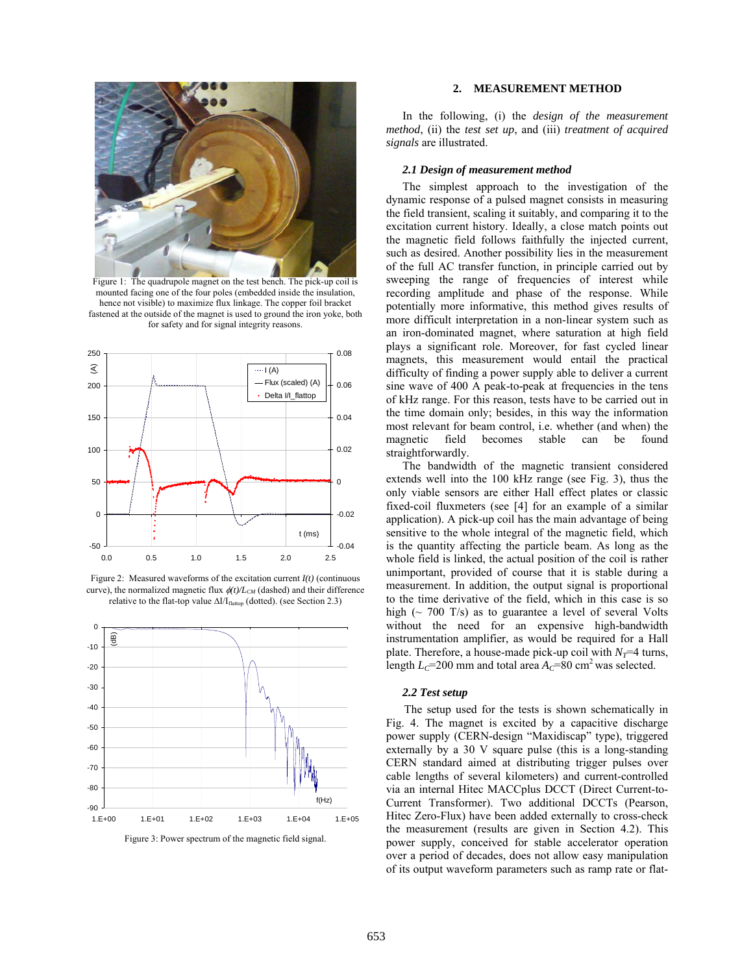

Figure 1: The quadrupole magnet on the test bench. The pick-up coil is mounted facing one of the four poles (embedded inside the insulation, hence not visible) to maximize flux linkage. The copper foil bracket fastened at the outside of the magnet is used to ground the iron yoke, both for safety and for signal integrity reasons.



Figure 2: Measured waveforms of the excitation current *I(t)* (continuous curve), the normalized magnetic flux  $\phi(t)/L_{CM}$  (dashed) and their difference relative to the flat-top value  $ΔI/I<sub>flattop</sub>$  (dotted). (see Section 2.3)



Figure 3: Power spectrum of the magnetic field signal.

# **2. MEASUREMENT METHOD**

In the following, (i) the *design of the measurement method*, (ii) the *test set up*, and (iii) *treatment of acquired signals* are illustrated.

# *2.1 Design of measurement method*

The simplest approach to the investigation of the dynamic response of a pulsed magnet consists in measuring the field transient, scaling it suitably, and comparing it to the excitation current history. Ideally, a close match points out the magnetic field follows faithfully the injected current, such as desired. Another possibility lies in the measurement of the full AC transfer function, in principle carried out by sweeping the range of frequencies of interest while recording amplitude and phase of the response. While potentially more informative, this method gives results of more difficult interpretation in a non-linear system such as an iron-dominated magnet, where saturation at high field plays a significant role. Moreover, for fast cycled linear magnets, this measurement would entail the practical difficulty of finding a power supply able to deliver a current sine wave of 400 A peak-to-peak at frequencies in the tens of kHz range. For this reason, tests have to be carried out in the time domain only; besides, in this way the information most relevant for beam control, i.e. whether (and when) the magnetic field becomes stable can be found straightforwardly.

The bandwidth of the magnetic transient considered extends well into the 100 kHz range (see Fig. 3), thus the only viable sensors are either Hall effect plates or classic fixed-coil fluxmeters (see [4] for an example of a similar application). A pick-up coil has the main advantage of being sensitive to the whole integral of the magnetic field, which is the quantity affecting the particle beam. As long as the whole field is linked, the actual position of the coil is rather unimportant, provided of course that it is stable during a measurement. In addition, the output signal is proportional to the time derivative of the field, which in this case is so high  $\sim$  700 T/s) as to guarantee a level of several Volts without the need for an expensive high-bandwidth instrumentation amplifier, as would be required for a Hall plate. Therefore, a house-made pick-up coil with  $N_T=4$  turns, length  $L_c$ =200 mm and total area  $A_c$ =80 cm<sup>2</sup> was selected.

#### *2.2 Test setup*

The setup used for the tests is shown schematically in Fig. 4. The magnet is excited by a capacitive discharge power supply (CERN-design "Maxidiscap" type), triggered externally by a 30 V square pulse (this is a long-standing CERN standard aimed at distributing trigger pulses over cable lengths of several kilometers) and current-controlled via an internal Hitec MACCplus DCCT (Direct Current-to-Current Transformer). Two additional DCCTs (Pearson, Hitec Zero-Flux) have been added externally to cross-check the measurement (results are given in Section 4.2). This power supply, conceived for stable accelerator operation over a period of decades, does not allow easy manipulation of its output waveform parameters such as ramp rate or flat-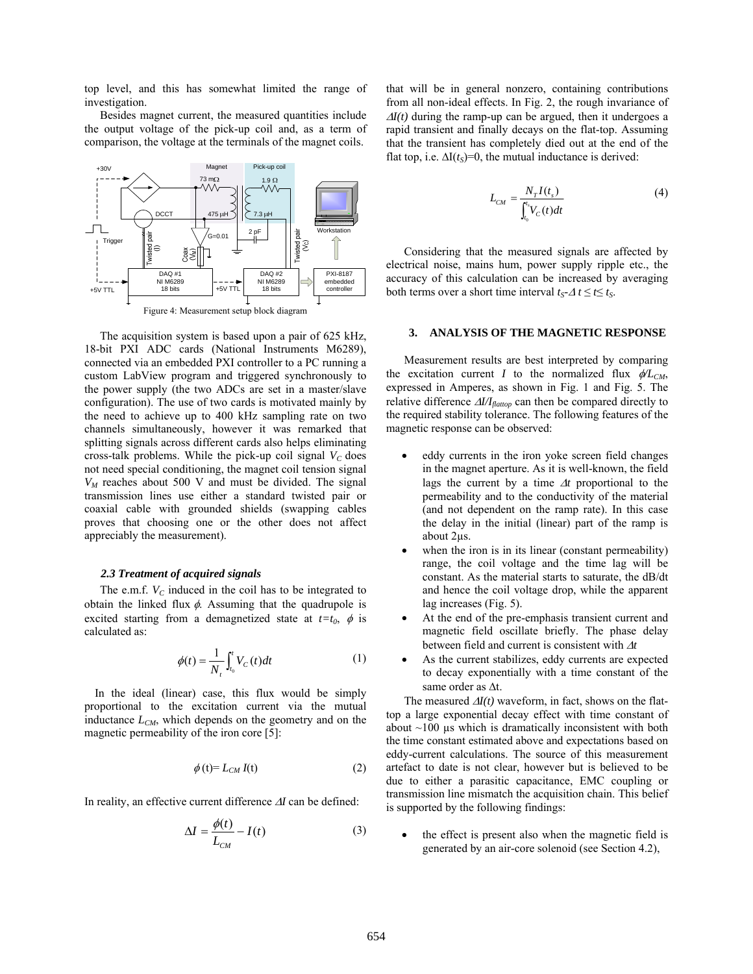top level, and this has somewhat limited the range of investigation.

Besides magnet current, the measured quantities include the output voltage of the pick-up coil and, as a term of comparison, the voltage at the terminals of the magnet coils.



The acquisition system is based upon a pair of 625 kHz, 18-bit PXI ADC cards (National Instruments M6289), connected via an embedded PXI controller to a PC running a custom LabView program and triggered synchronously to the power supply (the two ADCs are set in a master/slave configuration). The use of two cards is motivated mainly by the need to achieve up to 400 kHz sampling rate on two channels simultaneously, however it was remarked that splitting signals across different cards also helps eliminating cross-talk problems. While the pick-up coil signal  $V_C$  does not need special conditioning, the magnet coil tension signal  $V_M$  reaches about 500 V and must be divided. The signal transmission lines use either a standard twisted pair or coaxial cable with grounded shields (swapping cables proves that choosing one or the other does not affect appreciably the measurement).

#### *2.3 Treatment of acquired signals*

The e.m.f.  $V_c$  induced in the coil has to be integrated to obtain the linked flux  $\phi$ . Assuming that the quadrupole is excited starting from a demagnetized state at  $t=t_0$ ,  $\phi$  is calculated as:

$$
\phi(t) = \frac{1}{N_t} \int_{t_0}^t V_C(t) dt \tag{1}
$$

In the ideal (linear) case, this flux would be simply proportional to the excitation current via the mutual inductance  $L_{CM}$ , which depends on the geometry and on the magnetic permeability of the iron core [5]:

$$
\phi(t) = L_{CM} I(t) \tag{2}
$$

In reality, an effective current difference Δ*I* can be defined:

$$
\Delta I = \frac{\phi(t)}{L_{CM}} - I(t) \tag{3}
$$

that will be in general nonzero, containing contributions from all non-ideal effects. In Fig. 2, the rough invariance of  $\Delta I(t)$  during the ramp-up can be argued, then it undergoes a rapid transient and finally decays on the flat-top. Assuming that the transient has completely died out at the end of the flat top, i.e.  $\Delta I(t_S)=0$ , the mutual inductance is derived:

$$
L_{CM} = \frac{N_T I(t_s)}{\int_{t_0}^{t_s} V_C(t) dt}
$$
 (4)

Considering that the measured signals are affected by electrical noise, mains hum, power supply ripple etc., the accuracy of this calculation can be increased by averaging both terms over a short time interval  $t_s$ - $\Delta t \le t \le t_s$ .

## **3. ANALYSIS OF THE MAGNETIC RESPONSE**

Measurement results are best interpreted by comparing the excitation current *I* to the normalized flux  $\phi/L_{CM}$ , expressed in Amperes, as shown in Fig. 1 and Fig. 5. The relative difference Δ*I/Iflattop* can then be compared directly to the required stability tolerance. The following features of the magnetic response can be observed:

- eddy currents in the iron yoke screen field changes in the magnet aperture. As it is well-known, the field lags the current by a time Δ*t* proportional to the permeability and to the conductivity of the material (and not dependent on the ramp rate). In this case the delay in the initial (linear) part of the ramp is about 2µs.
- when the iron is in its linear (constant permeability) range, the coil voltage and the time lag will be constant. As the material starts to saturate, the dB/dt and hence the coil voltage drop, while the apparent lag increases (Fig. 5).
- At the end of the pre-emphasis transient current and magnetic field oscillate briefly. The phase delay between field and current is consistent with Δ*t*
- As the current stabilizes, eddy currents are expected to decay exponentially with a time constant of the same order as Δt.

The measured Δ*I(t)* waveform, in fact, shows on the flattop a large exponential decay effect with time constant of about  $\sim$ 100  $\mu$ s which is dramatically inconsistent with both the time constant estimated above and expectations based on eddy-current calculations. The source of this measurement artefact to date is not clear, however but is believed to be due to either a parasitic capacitance, EMC coupling or transmission line mismatch the acquisition chain. This belief is supported by the following findings:

the effect is present also when the magnetic field is generated by an air-core solenoid (see Section 4.2),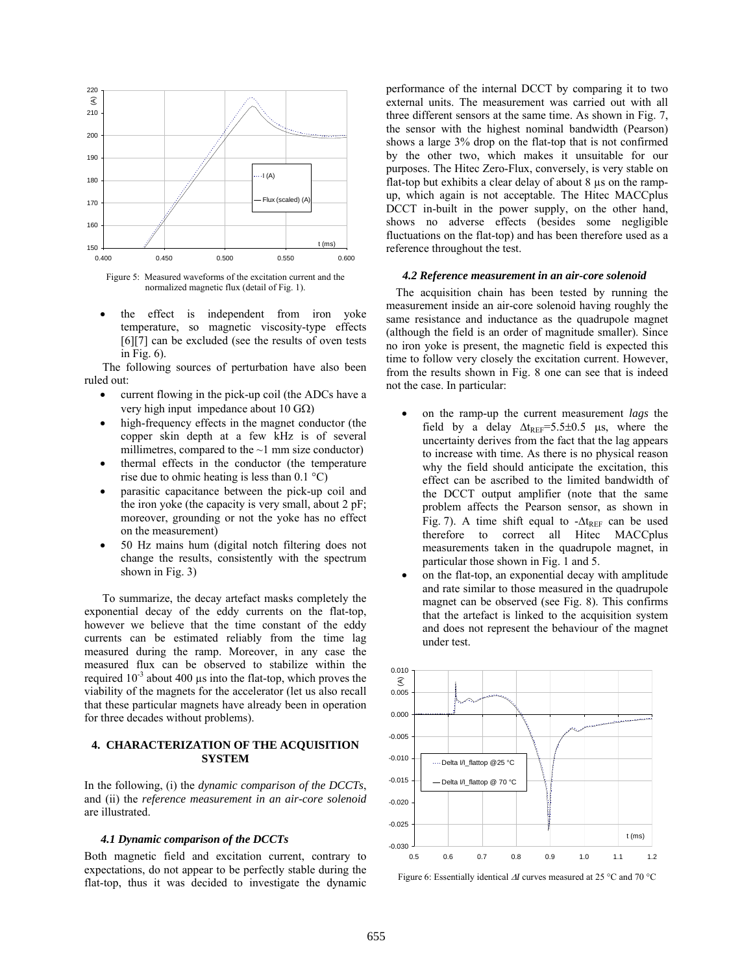

Figure 5: Measured waveforms of the excitation current and the normalized magnetic flux (detail of Fig. 1).

the effect is independent from iron yoke temperature, so magnetic viscosity-type effects [6][7] can be excluded (see the results of oven tests in Fig. 6).

The following sources of perturbation have also been ruled out:

- current flowing in the pick-up coil (the ADCs have a very high input impedance about 10 GΩ)
- high-frequency effects in the magnet conductor (the copper skin depth at a few kHz is of several millimetres, compared to the  $\sim$ 1 mm size conductor)
- thermal effects in the conductor (the temperature rise due to ohmic heating is less than  $0.1 \degree C$ )
- parasitic capacitance between the pick-up coil and the iron yoke (the capacity is very small, about 2 pF; moreover, grounding or not the yoke has no effect on the measurement)
- 50 Hz mains hum (digital notch filtering does not change the results, consistently with the spectrum shown in Fig. 3)

To summarize, the decay artefact masks completely the exponential decay of the eddy currents on the flat-top, however we believe that the time constant of the eddy currents can be estimated reliably from the time lag measured during the ramp. Moreover, in any case the measured flux can be observed to stabilize within the required  $10^{-3}$  about 400 us into the flat-top, which proves the viability of the magnets for the accelerator (let us also recall that these particular magnets have already been in operation for three decades without problems).

# **4. CHARACTERIZATION OF THE ACQUISITION SYSTEM**

In the following, (i) the *dynamic comparison of the DCCTs*, and (ii) the *reference measurement in an air-core solenoid* are illustrated.

# *4.1 Dynamic comparison of the DCCTs*

Both magnetic field and excitation current, contrary to expectations, do not appear to be perfectly stable during the flat-top, thus it was decided to investigate the dynamic performance of the internal DCCT by comparing it to two external units. The measurement was carried out with all three different sensors at the same time. As shown in Fig. 7, the sensor with the highest nominal bandwidth (Pearson) shows a large 3% drop on the flat-top that is not confirmed by the other two, which makes it unsuitable for our purposes. The Hitec Zero-Flux, conversely, is very stable on flat-top but exhibits a clear delay of about 8  $\mu$ s on the rampup, which again is not acceptable. The Hitec MACCplus DCCT in-built in the power supply, on the other hand, shows no adverse effects (besides some negligible fluctuations on the flat-top) and has been therefore used as a reference throughout the test.

## *4.2 Reference measurement in an air-core solenoid*

The acquisition chain has been tested by running the measurement inside an air-core solenoid having roughly the same resistance and inductance as the quadrupole magnet (although the field is an order of magnitude smaller). Since no iron yoke is present, the magnetic field is expected this time to follow very closely the excitation current. However, from the results shown in Fig. 8 one can see that is indeed not the case. In particular:

- on the ramp-up the current measurement *lags* the field by a delay  $\Delta t_{REF} = 5.5 \pm 0.5$  μs, where the uncertainty derives from the fact that the lag appears to increase with time. As there is no physical reason why the field should anticipate the excitation, this effect can be ascribed to the limited bandwidth of the DCCT output amplifier (note that the same problem affects the Pearson sensor, as shown in Fig. 7). A time shift equal to  $-\Delta t_{REF}$  can be used therefore to correct all Hitec MACCplus measurements taken in the quadrupole magnet, in particular those shown in Fig. 1 and 5.
- on the flat-top, an exponential decay with amplitude and rate similar to those measured in the quadrupole magnet can be observed (see Fig. 8). This confirms that the artefact is linked to the acquisition system and does not represent the behaviour of the magnet under test.



Figure 6: Essentially identical Δ*I* curves measured at 25 °C and 70 °C